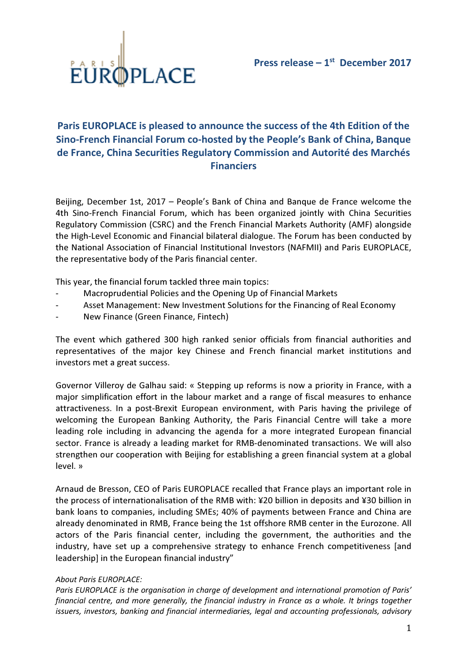

## Paris EUROPLACE is pleased to announce the success of the 4th Edition of the Sino-French Financial Forum co-hosted by the People's Bank of China, Banque de France, China Securities Regulatory Commission and Autorité des Marchés Financiers

Beijing, December 1st, 2017 – People's Bank of China and Banque de France welcome the 4th Sino-French Financial Forum, which has been organized jointly with China Securities Regulatory Commission (CSRC) and the French Financial Markets Authority (AMF) alongside the High-Level Economic and Financial bilateral dialogue. The Forum has been conducted by the National Association of Financial Institutional Investors (NAFMII) and Paris EUROPLACE, the representative body of the Paris financial center.

This year, the financial forum tackled three main topics:

- Macroprudential Policies and the Opening Up of Financial Markets
- Asset Management: New Investment Solutions for the Financing of Real Economy
- New Finance (Green Finance, Fintech)

The event which gathered 300 high ranked senior officials from financial authorities and representatives of the major key Chinese and French financial market institutions and investors met a great success.

Governor Villeroy de Galhau said: « Stepping up reforms is now a priority in France, with a major simplification effort in the labour market and a range of fiscal measures to enhance attractiveness. In a post-Brexit European environment, with Paris having the privilege of welcoming the European Banking Authority, the Paris Financial Centre will take a more leading role including in advancing the agenda for a more integrated European financial sector. France is already a leading market for RMB-denominated transactions. We will also strengthen our cooperation with Beijing for establishing a green financial system at a global level. »

Arnaud de Bresson, CEO of Paris EUROPLACE recalled that France plays an important role in the process of internationalisation of the RMB with: ¥20 billion in deposits and ¥30 billion in bank loans to companies, including SMEs; 40% of payments between France and China are already denominated in RMB, France being the 1st offshore RMB center in the Eurozone. All actors of the Paris financial center, including the government, the authorities and the industry, have set up a comprehensive strategy to enhance French competitiveness [and leadership] in the European financial industry"

## About Paris EUROPLACE:

Paris EUROPLACE is the organisation in charge of development and international promotion of Paris' financial centre, and more generally, the financial industry in France as a whole. It brings together issuers, investors, banking and financial intermediaries, legal and accounting professionals, advisory